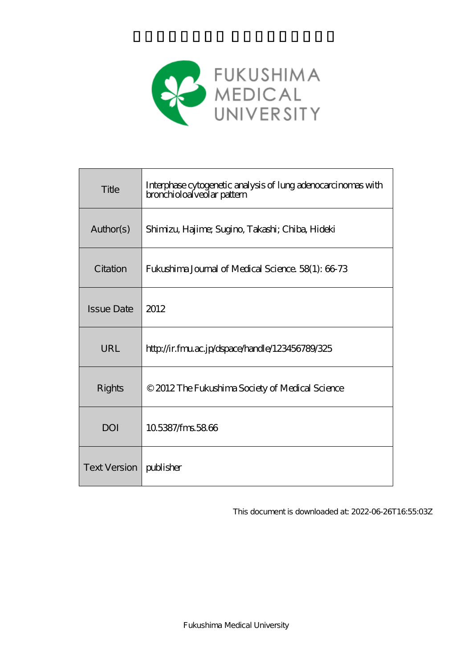

| Title                    | Interphase cytogenetic analysis of lung adenocarcinomas with<br>bronchioloalveolar pattern |  |  |
|--------------------------|--------------------------------------------------------------------------------------------|--|--|
| Author(s)                | Shimizu, Hajime; Sugino, Takashi; Chiba, Hideki                                            |  |  |
| Citation                 | Fukushima Journal of Medical Science. 58(1): 66-73                                         |  |  |
| <b>Issue Date</b>        | 2012                                                                                       |  |  |
| URL                      | http://ir.fmu.ac.jp/dspace/handle/123456789/325                                            |  |  |
| Rights                   | © 2012 The Fukushima Society of Medical Science                                            |  |  |
| <b>DOI</b>               | 105387/fms5866                                                                             |  |  |
| Text Version   publisher |                                                                                            |  |  |

This document is downloaded at: 2022-06-26T16:55:03Z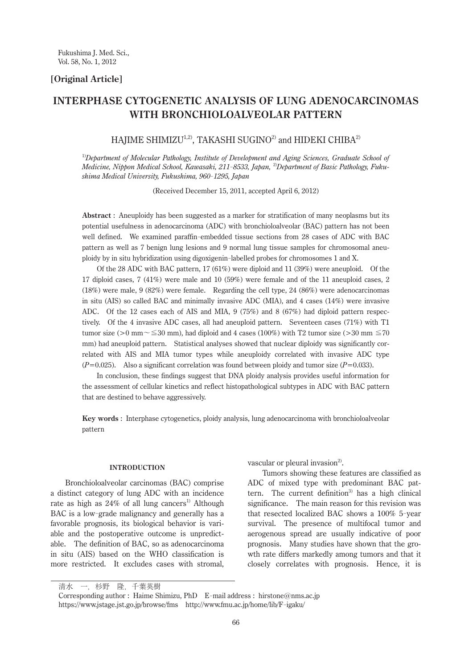# **[Original Article]**

# **INTERPHASE CYTOGENETIC ANALYSIS OF LUNG ADENOCARCINOMAS WITH BRONCHIOLOALVEOLAR PATTERN**

HAJIME SHIMIZU<sup>1,2)</sup>, TAKASHI SUGINO<sup>2)</sup> and HIDEKI CHIBA<sup>2)</sup>

1)*Department of Molecular Pathology, Institute of Development and Aging Sciences, Graduate School of Medicine, Nippon Medical School, Kawasaki, 211- 8533, Japan,* 2)*Department of Basic Pathology, Fukushima Medical University, Fukushima, 960- 1295, Japan*

(Received December 15, 2011, accepted April 6, 2012)

**Abstract** : Aneuploidy has been suggested as a marker for stratification of many neoplasms but its potential usefulness in adenocarcinoma (ADC) with bronchioloalveolar (BAC) pattern has not been well defined. We examined paraffin-embedded tissue sections from 28 cases of ADC with BAC pattern as well as 7 benign lung lesions and 9 normal lung tissue samples for chromosomal aneuploidy by in situ hybridization using digoxigenin-labelled probes for chromosomes 1 and X.

 Of the 28 ADC with BAC pattern, 17 (61%) were diploid and 11 (39%) were aneuploid. Of the 17 diploid cases, 7 (41%) were male and 10 (59%) were female and of the 11 aneuploid cases, 2 (18%) were male, 9 (82%) were female. Regarding the cell type, 24 (86%) were adenocarcinomas in situ (AIS) so called BAC and minimally invasive ADC (MIA), and 4 cases (14%) were invasive ADC. Of the 12 cases each of AIS and MIA, 9 (75%) and 8 (67%) had diploid pattern respectively. Of the 4 invasive ADC cases, all had aneuploid pattern. Seventeen cases (71%) with T1 tumor size (>0 mm~ $\leq$ 30 mm), had diploid and 4 cases (100%) with T2 tumor size (>30 mm  $\leq$ 70 mm) had aneuploid pattern. Statistical analyses showed that nuclear diploidy was significantly correlated with AIS and MIA tumor types while aneuploidy correlated with invasive ADC type  $(P=0.025)$ . Also a significant correlation was found between ploidy and tumor size  $(P=0.033)$ .

 In conclusion, these findings suggest that DNA ploidy analysis provides useful information for the assessment of cellular kinetics and reflect histopathological subtypes in ADC with BAC pattern that are destined to behave aggressively.

**Key words** : Interphase cytogenetics, ploidy analysis, lung adenocarcinoma with bronchioloalveolar pattern

#### **INTRODUCTION**

Bronchioloalveolar carcinomas (BAC) comprise a distinct category of lung ADC with an incidence rate as high as  $24\%$  of all lung cancers<sup>1)</sup> Although BAC is a low-grade malignancy and generally has a favorable prognosis, its biological behavior is variable and the postoperative outcome is unpredictable. The definition of BAC, so as adenocarcinoma in situ (AIS) based on the WHO classification is more restricted. It excludes cases with stromal,

vascular or pleural invasion<sup>2)</sup>.

Tumors showing these features are classified as ADC of mixed type with predominant BAC pattern. The current definition<sup>3)</sup> has a high clinical significance. The main reason for this revision was that resected localized BAC shows a 100% 5- year survival. The presence of multifocal tumor and aerogenous spread are usually indicative of poor prognosis. Many studies have shown that the growth rate differs markedly among tumors and that it closely correlates with prognosis. Hence, it is

清水 一,杉野 隆,千葉英樹

Corresponding author : Haime Shimizu, PhD E-mail address : hirstone@nms.ac.jp https://www.jstage.jst.go.jp/browse/fms http://www.fmu.ac.jp/home/lib/F-igaku/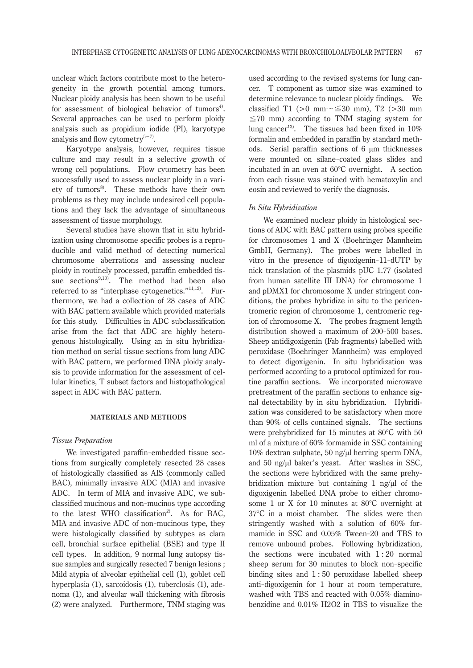unclear which factors contribute most to the heterogeneity in the growth potential among tumors. Nuclear ploidy analysis has been shown to be useful for assessment of biological behavior of tumors<sup>4</sup>. Several approaches can be used to perform ploidy analysis such as propidium iodide (PI), karyotype analysis and flow cytometry<sup>5−7)</sup>.

Karyotype analysis, however, requires tissue culture and may result in a selective growth of wrong cell populations. Flow cytometry has been successfully used to assess nuclear ploidy in a variety of tumors<sup>8</sup>. These methods have their own problems as they may include undesired cell populations and they lack the advantage of simultaneous assessment of tissue morphology.

Several studies have shown that in situ hybridization using chromosome specific probes is a reproducible and valid method of detecting numerical chromosome aberrations and assessing nuclear ploidy in routinely processed, paraffin embedded tissue sections $9,10$ . The method had been also referred to as "interphase cytogenetics."11,12). Furthermore, we had a collection of 28 cases of ADC with BAC pattern available which provided materials for this study. Difficulties in ADC subclassification arise from the fact that ADC are highly heterogenous histologically. Using an in situ hybridization method on serial tissue sections from lung ADC with BAC pattern, we performed DNA ploidy analysis to provide information for the assessment of cellular kinetics, T subset factors and histopathological aspect in ADC with BAC pattern.

### **MATERIALS AND METHODS**

#### *Tissue Preparation*

We investigated paraffin-embedded tissue sections from surgically completely resected 28 cases of histologically classified as AIS (commonly called BAC), minimally invasive ADC (MIA) and invasive ADC. In term of MIA and invasive ADC, we subclassified mucinous and non-mucinos type according to the latest WHO classification<sup>2</sup>. As for BAC, MIA and invasive ADC of non-mucinous type, they were histologically classified by subtypes as clara cell, bronchial surface epithelial (BSE) and type II cell types. In addition, 9 normal lung autopsy tissue samples and surgically resected 7 benign lesions ; Mild atypia of alveolar epithelial cell (1), goblet cell hyperplasia (1), sarcoidosis (1), tuberclosis (1), adenoma (1), and alveolar wall thickening with fibrosis (2) were analyzed. Furthermore, TNM staging was

used according to the revised systems for lung cancer. T component as tumor size was examined to determine relevance to nuclear ploidy findings. We classified T1 (>0 mm $\sim \leq 30$  mm), T2 (>30 mm  $\leq$ 70 mm) according to TNM staging system for lung cancer<sup>13)</sup>. The tissues had been fixed in  $10\%$ formalin and embedded in paraffin by standard methods. Serial paraffin sections of 6 μm thicknesses were mounted on silane-coated glass slides and incubated in an oven at 60°C overnight. A section from each tissue was stained with hematoxylin and eosin and reviewed to verify the diagnosis.

### *In Situ Hybridization*

We examined nuclear ploidy in histological sections of ADC with BAC pattern using probes specific for chromosomes 1 and X (Boehringer Mannheim GmbH, Germany). The probes were labelled in vitro in the presence of digoxigenin-11- dUTP by nick translation of the plasmids pUC 1.77 (isolated from human satellite III DNA) for chromosome 1 and pDMX1 for chromosome X under stringent conditions, the probes hybridize in situ to the pericentromeric region of chromosome 1, centromeric region of chromosome X. The probes fragment length distribution showed a maximum of 200- 500 bases. Sheep antidigoxigenin (Fab fragments) labelled with peroxidase (Boehringer Mannheim) was employed to detect digoxigenin. In situ hybridization was performed according to a protocol optimized for routine paraffin sections. We incorporated microwave pretreatment of the paraffin sections to enhance signal detectability by in situ hybridization. Hybridization was considered to be satisfactory when more than 90% of cells contained signals. The sections were prehybridized for 15 minutes at 80°C with 50 ml of a mixture of 60% formamide in SSC containing 10% dextran sulphate, 50 ng/μl herring sperm DNA, and 50 ng/μl baker's yeast. After washes in SSC, the sections were hybridized with the same prehybridization mixture but containing 1 ng/μl of the digoxigenin labelled DNA probe to either chromosome 1 or X for 10 minutes at 80°C overnight at 37°C in a moist chamber. The slides were then stringently washed with a solution of 60% formamide in SSC and 0.05% Tween-20 and TBS to remove unbound probes. Following hybridization, the sections were incubated with 1 : 20 normal sheep serum for 30 minutes to block non-specific binding sites and 1 : 50 peroxidase labelled sheep anti-digoxigenin for 1 hour at room temperature, washed with TBS and reacted with 0.05% diaminobenzidine and 0.01% H2O2 in TBS to visualize the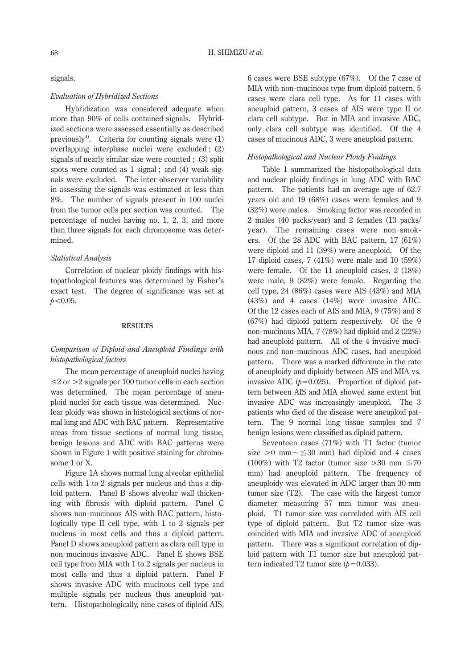signals.

## *Evaluation of Hybridized Sections*

Hybridization was considered adequate when more than 90% of cells contained signals. Hybridized sections were assessed essentially as described previously<sup>4)</sup>. Criteria for counting signals were  $(1)$ overlapping interphase nuclei were excluded ; (2) signals of nearly similar size were counted ; (3) split spots were counted as 1 signal ; and (4) weak signals were excluded. The inter observer variability in assessing the signals was estimated at less than 8%. The number of signals present in 100 nuclei from the tumor cells per section was counted. The percentage of nuclei having no, 1, 2, 3, and more than three signals for each chromosome was determined.

# *Statistical Analysis*

Correlation of nuclear ploidy findings with histopathological features was determined by Fisher's exact test. The degree of significance was set at *p*<0.05.

## **RESULTS**

# *Comparison of Diploid and Aneuploid Findings with histopathological factors*

The mean percentage of aneuploid nuclei having  $\leq$  2 or  $>$  2 signals per 100 tumor cells in each section was determined. The mean percentage of aneuploid nuclei for each tissue was determined. Nuclear ploidy was shown in histological sections of normal lung and ADC with BAC pattern. Representative areas from tissue sections of normal lung tissue, benign lesions and ADC with BAC patterns were shown in Figure 1 with positive staining for chromosome 1 or X.

Figure 1A shows normal lung alveolar epithelial cells with 1 to 2 signals per nucleus and thus a diploid pattern. Panel B shows alveolar wall thickening with fibrosis with diploid pattern. Panel C shows non-mucinous AIS with BAC pattern, histologically type II cell type, with 1 to 2 signals per nucleus in most cells and thus a diploid pattern. Panel D shows aneuploid pattern as clara cell type in non-mucinous invasive ADC. Panel E shows BSE cell type from MIA with 1 to 2 signals per nucleus in most cells and thus a diploid pattern. Panel F shows invasive ADC with mucinous cell type and multiple signals per nucleus thus aneuploid pattern. Histopathologically, nine cases of diploid AIS,

6 cases were BSE subtype (67%). Of the 7 case of MIA with non-mucinous type from diploid pattern, 5 cases were clara cell type. As for 11 cases with aneuploid pattern, 3 cases of AIS were type II or clara cell subtype. But in MIA and invasive ADC, only clara cell subtype was identified. Of the 4 cases of mucinous ADC, 3 were aneuploid pattern.

## *Histopathological and Nuclear Ploidy Findings*

Table 1 summarized the histopathological data and nuclear ploidy findings in lung ADC with BAC pattern. The patients had an average age of 62.7 years old and 19 (68%) cases were females and 9 (32%) were males. Smoking factor was recorded in 2 males (40 packs/year) and 2 females (13 packs/ year). The remaining cases were non-smokers. Of the 28 ADC with BAC pattern, 17 (61%) were diploid and 11 (39%) were aneuploid. Of the 17 diploid cases, 7 (41%) were male and 10 (59%) were female. Of the 11 aneuploid cases, 2 (18%) were male, 9 (82%) were female. Regarding the cell type, 24 (86%) cases were AIS (43%) and MIA (43%) and 4 cases (14%) were invasive ADC. Of the 12 cases each of AIS and MIA, 9 (75%) and 8 (67%) had diploid pattern respectively. Of the 9 non-mucinous MIA, 7 (78%) had diploid and 2 (22%) had aneuploid pattern. All of the 4 invasive mucinous and non-mucinous ADC cases, had aneuploid pattern. There was a marked difference in the rate of aneuploidy and diploidy between AIS and MIA vs. invasive ADC  $(p=0.025)$ . Proportion of diploid pattern between AIS and MIA showed same extent but invasive ADC was increasingly aneuploid. The 3 patients who died of the disease were aneuploid pattern. The 9 normal lung tissue samples and 7 benign lesions were classified as diploid pattern.

Seventeen cases (71%) with T1 factor (tumor size >0 mm $\sim \leq 30$  mm) had diploid and 4 cases (100%) with T2 factor (tumor size >30 mm  $\leq 70$ mm) had aneuploid pattern. The frequency of aneuploidy was elevated in ADC larger than 30 mm tumor size (T2). The case with the largest tumor diameter measuring 57 mm tumor was aneuploid. T1 tumor size was correlated with AIS cell type of diploid pattern. But T2 tumor size was coincided with MIA and invasive ADC of aneuploid pattern. There was a significant correlation of diploid pattern with T1 tumor size but aneuploid pattern indicated T2 tumor size  $(p=0.033)$ .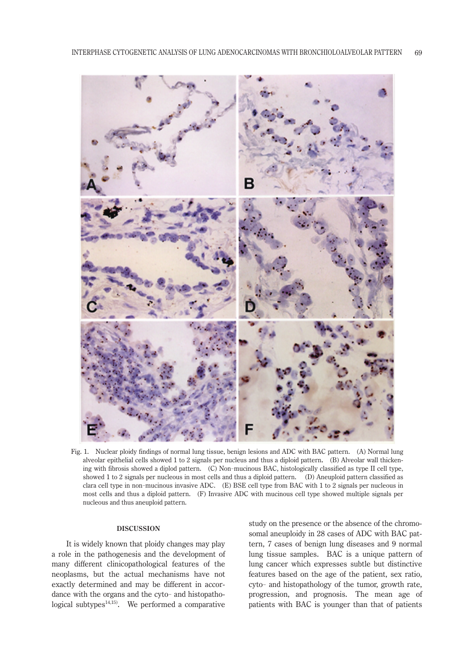

Fig. 1. Nuclear ploidy findings of normal lung tissue, benign lesions and ADC with BAC pattern. (A) Normal lung alveolar epithelial cells showed 1 to 2 signals per nucleus and thus a diploid pattern**.** (B) Alveolar wall thickening with fibrosis showed a diplod pattern. (C) Non-mucinous BAC, histologically classified as type II cell type, showed 1 to 2 signals per nucleous in most cells and thus a diploid pattern. (D) Aneuploid pattern classified as clara cell type in non-mucinous invasive ADC. (E) BSE cell type from BAC with 1 to 2 signals per nucleous in most cells and thus a diploid pattern. (F) Invasive ADC with mucinous cell type showed multiple signals per nucleous and thus aneuploid pattern.

# **DISCUSSION**

It is widely known that ploidy changes may play a role in the pathogenesis and the development of many different clinicopathological features of the neoplasms, but the actual mechanisms have not exactly determined and may be different in accordance with the organs and the cyto- and histopathological subtypes $14,15$ . We performed a comparative

study on the presence or the absence of the chromosomal aneuploidy in 28 cases of ADC with BAC pattern, 7 cases of benign lung diseases and 9 normal lung tissue samples. BAC is a unique pattern of lung cancer which expresses subtle but distinctive features based on the age of the patient, sex ratio, cyto- and histopathology of the tumor, growth rate, progression, and prognosis. The mean age of patients with BAC is younger than that of patients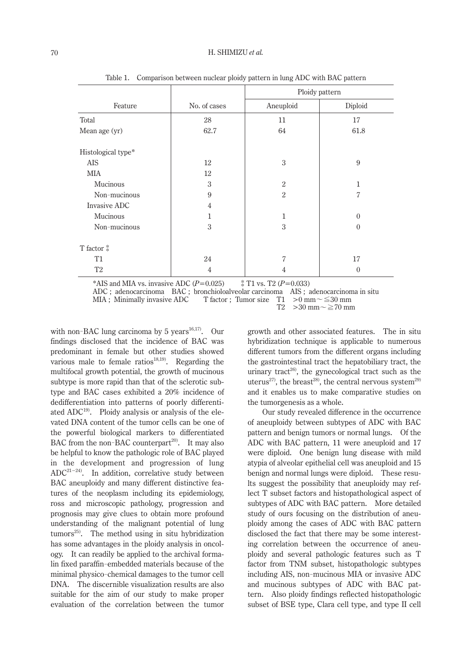|                    |              | Ploidy pattern |                |
|--------------------|--------------|----------------|----------------|
| Feature            | No. of cases | Aneuploid      | Diploid        |
| Total              | 28           | 11             | 17             |
| Mean age (yr)      | 62.7         | 64             | 61.8           |
| Histological type* |              |                |                |
| <b>AIS</b>         | 12           | 3              | 9              |
| MIA                | 12           |                |                |
| Mucinous           | 3            | $\overline{2}$ | 1              |
| Non-mucinous       | 9            | $\overline{2}$ | $\overline{7}$ |
| Invasive ADC       | 4            |                |                |
| Mucinous           | 1            | $\mathbf{1}$   | $\theta$       |
| Non-mucinous       | 3            | 3              | $\theta$       |
| T factor $*$       |              |                |                |
| T <sub>1</sub>     | 24           | 7              | 17             |
| T <sub>2</sub>     | 4            | 4              | $\theta$       |

Table 1. Comparison between nuclear ploidy pattern in lung ADC with BAC pattern

\*AIS and MIA vs. invasive ADC  $(P=0.025)$   $\ddot{\text{*}}$  T1 vs. T2  $(P=0.033)$ 

>30 mm $\sim$ ≧70 mm

with non-BAC lung carcinoma by 5 years<sup>16,17)</sup>. Our findings disclosed that the incidence of BAC was predominant in female but other studies showed various male to female ratios<sup>18,19)</sup>. Regarding the multifocal growth potential, the growth of mucinous subtype is more rapid than that of the sclerotic subtype and BAC cases exhibited a 20% incidence of dedifferentiation into patterns of poorly differentiated  $ADC<sup>19</sup>$ . Ploidy analysis or analysis of the elevated DNA content of the tumor cells can be one of the powerful biological markers to differentiated BAC from the non-BAC counterpart<sup>20)</sup>. It may also be helpful to know the pathologic role of BAC played in the development and progression of lung ADC21−24). In addition, correlative study between BAC aneuploidy and many different distinctive features of the neoplasm including its epidemiology, ross and microscopic pathology, progression and prognosis may give clues to obtain more profound understanding of the malignant potential of lung  $\text{tumors}^{25}$ . The method using in situ hybridization has some advantages in the ploidy analysis in oncology. It can readily be applied to the archival formalin fixed paraffin-embedded materials because of the minimal physico-chemical damages to the tumor cell DNA. The discernible visualization results are also suitable for the aim of our study to make proper evaluation of the correlation between the tumor

growth and other associated features. The in situ hybridization technique is applicable to numerous different tumors from the different organs including the gastrointestinal tract the hepatobiliary tract, the urinary tract<sup>26</sup>, the gynecological tract such as the uterus<sup>27</sup>, the breast<sup>28</sup>, the central nervous system<sup>29)</sup> and it enables us to make comparative studies on the tumorgenesis as a whole.

Our study revealed difference in the occurrence of aneuploidy between subtypes of ADC with BAC pattern and benign tumors or normal lungs. Of the ADC with BAC pattern, 11 were aneuploid and 17 were diploid. One benign lung disease with mild atypia of alveolar epithelial cell was aneuploid and 15 benign and normal lungs were diploid. These results suggest the possibility that aneuploidy may reflect T subset factors and histopathological aspect of subtypes of ADC with BAC pattern. More detailed study of ours focusing on the distribution of aneuploidy among the cases of ADC with BAC pattern disclosed the fact that there may be some interesting correlation between the occurrence of aneuploidy and several pathologic features such as T factor from TNM subset, histopathologic subtypes including AIS, non-mucinous MIA or invasive ADC and mucinous subtypes of ADC with BAC pattern. Also ploidy findings reflected histopathologic subset of BSE type, Clara cell type, and type II cell

ADC ; adenocarcinoma BAC ; bronchioloalveolar carcinoma AIS ; adenocarcinoma in situ MIA ; Minimally invasive ADC T factor ; Tumor size T1  $>0$  mm $\sim \le 30$  mm<br>T2  $>30$  mm $\sim \ge 70$  mm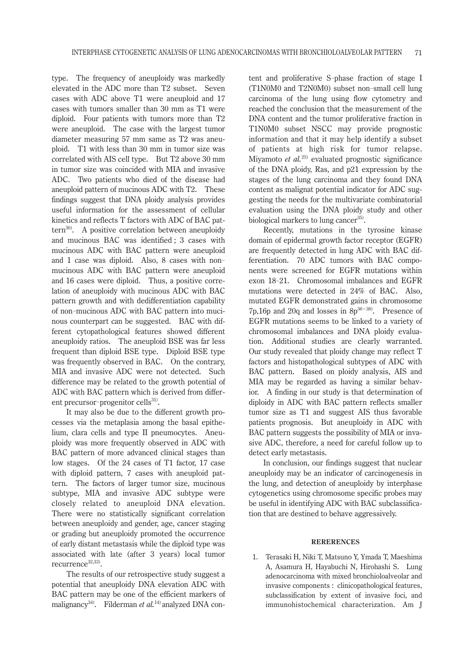type. The frequency of aneuploidy was markedly elevated in the ADC more than T2 subset. Seven cases with ADC above T1 were aneuploid and 17 cases with tumors smaller than 30 mm as T1 were diploid. Four patients with tumors more than T2 were aneuploid. The case with the largest tumor diameter measuring 57 mm same as T2 was aneuploid. T1 with less than 30 mm in tumor size was correlated with AIS cell type. But T2 above 30 mm in tumor size was coincided with MIA and invasive ADC. Two patients who died of the disease had aneuploid pattern of mucinous ADC with T2. These findings suggest that DNA ploidy analysis provides useful information for the assessment of cellular kinetics and reflects T factors with ADC of BAC pattern $30$ . A positive correlation between aneuploidy and mucinous BAC was identified ; 3 cases with mucinous ADC with BAC pattern were aneuploid and 1 case was diploid. Also, 8 cases with nonmucinous ADC with BAC pattern were aneuploid and 16 cases were diploid. Thus, a positive correlation of aneuploidy with mucinous ADC with BAC pattern growth and with dedifferentiation capability of non-mucinous ADC with BAC pattern into mucinous counterpart can be suggested. BAC with different cytopathological features showed different aneuploidy ratios. The aneuploid BSE was far less frequent than diploid BSE type. Diploid BSE type was frequently observed in BAC. On the contrary, MIA and invasive ADC were not detected. Such difference may be related to the growth potential of ADC with BAC pattern which is derived from different precursor-progenitor cells<sup>31)</sup>.

It may also be due to the different growth processes via the metaplasia among the basal epithelium, clara cells and type II pneumocytes. Aneuploidy was more frequently observed in ADC with BAC pattern of more advanced clinical stages than low stages. Of the 24 cases of T1 factor, 17 case with diploid pattern, 7 cases with aneuploid pattern. The factors of larger tumor size, mucinous subtype, MIA and invasive ADC subtype were closely related to aneuploid DNA elevation. There were no statistically significant correlation between aneuploidy and gender, age, cancer staging or grading but aneuploidy promoted the occurrence of early distant metastasis while the diploid type was associated with late (after 3 years) local tumor recurrence<sup>32,33)</sup>.

The results of our retrospective study suggest a potential that aneuploidy DNA elevation ADC with BAC pattern may be one of the efficient markers of malignancy<sup>34)</sup>. Filderman *et al.*<sup>14)</sup> analyzed DNA con-

tent and proliferative S-phase fraction of stage I (T1N0M0 and T2N0M0) subset non-small cell lung carcinoma of the lung using flow cytometry and reached the conclusion that the measurement of the DNA content and the tumor proliferative fraction in T1N0M0 subset NSCC may provide prognostic information and that it may help identify a subset of patients at high risk for tumor relapse. Miyamoto *et al.*<sup>25)</sup> evaluated prognostic significance of the DNA ploidy, Ras, and p21 expression by the stages of the lung carcinoma and they found DNA content as malignat potential indicator for ADC suggesting the needs for the multivariate combinatorial evaluation using the DNA ploidy study and other biological markers to lung cancer<sup>35)</sup>.

Recently, mutations in the tyrosine kinase domain of epidermal growth factor receptor (EGFR) are frequently detected in lung ADC with BAC differentiation. 70 ADC tumors with BAC components were screened for EGFR mutations within exon 18- 21. Chromosomal imbalances and EGFR mutations were detected in 24% of BAC. Also, mutated EGFR demonstrated gains in chromosome 7p,16p and 20q and losses in  $8p^{36-38}$ . Presence of EGFR mutations seems to be linked to a variety of chromosomal imbalances and DNA ploidy evaluation. Additional studies are clearly warranted. Our study revealed that ploidy change may reflect T factors and histopathological subtypes of ADC with BAC pattern. Based on ploidy analysis, AIS and MIA may be regarded as having a similar behavior. A finding in our study is that determination of diploidy in ADC with BAC pattern reflects smaller tumor size as T1 and suggest AIS thus favorable patients prognosis. But aneuploidy in ADC with BAC pattern suggests the possibility of MIA or invasive ADC, therefore, a need for careful follow up to detect early metastasis.

In conclusion, our findings suggest that nuclear aneuploidy may be an indicator of carcinogenesis in the lung, and detection of aneuploidy by interphase cytogenetics using chromosome specific probes may be useful in identifying ADC with BAC subclassification that are destined to behave aggressively.

### **RERERENCES**

1. Terasaki H, Niki T, Matsuno Y, Ymada T, Maeshima A, Asamura H, Hayabuchi N, Hirohashi S. Lung adenocarcinoma with mixed bronchioloalveolar and invasive components : clinicopathological features, subclassification by extent of invasive foci, and immunohistochemical characterization. Am J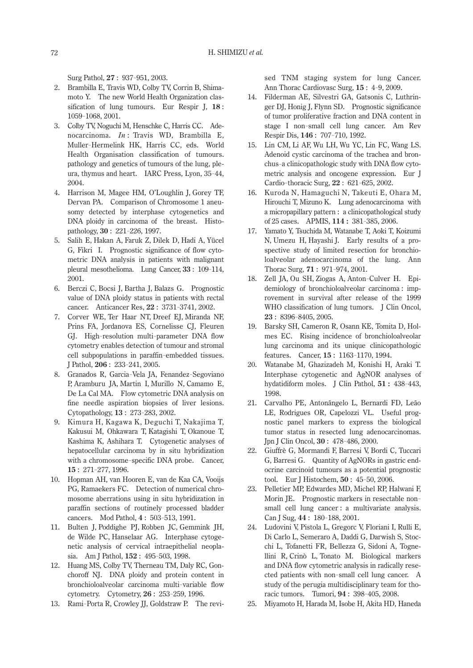Surg Pathol, **27** : 937- 951, 2003.

- 2. Brambilla E, Travis WD, Colby TV, Corrin B, Shimamoto Y. The new World Health Organization classification of lung tumours. Eur Respir J, **18** : 1059- 1068, 2001.
- 3. Colby TV, Noguchi M, Henschke C, Harris CC. Adenocarcinoma. *In* : Travis WD, Brambilla E, Muller-Hermelink HK, Harris CC, eds. World Health Organisation classification of tumours. pathology and genetics of tumours of the lung, pleura, thymus and heart. IARC Press, Lyon, 35- 44, 2004.
- 4. Harrison M, Magee HM, O'Loughlin J, Gorey TF, Dervan PA. Comparison of Chromosome 1 aneusomy detected by interphase cytogenetics and DNA ploidy in carcinoma of the breast. Histopathology, **30** : 221- 226, 1997.
- 5. Salih E, Hakan A, Faruk Z, Dilek D, Hadi A, Yücel G, Fikri I. Prognostic significance of flow cytometric DNA analysis in patients with malignant pleural mesothelioma. Lung Cancer, **33** : 109- 114, 2001.
- 6. Berczi C, Bocsi J, Bartha J, Balazs G. Prognostic value of DNA ploidy status in patients with rectal cancer. Anticancer Res, **22** : 3731- 3741, 2002.
- 7. Corver WE, Ter Haar NT, Dreef EJ, Miranda NF, Prins FA, Jordanova ES, Cornelisse CJ, Fleuren GJ. High-resolution multi-parameter DNA flow cytometry enables detection of tumour and stromal cell subpopulations in paraffin-embedded tissues. J Pathol, **206** : 233- 241, 2005.
- 8. Granados R, Garcia-Vela JA, Fenandez-Segoviano P, Aramburu JA, Martin I, Murillo N, Camamo E, De La Cal MA. Flow cytometric DNA analysis on fine needle aspiration biopsies of liver lesions. Cytopathology, **13** : 273- 283, 2002.
- 9. Kimura H, Kagawa K, Deguchi T, Nakajima T, Kakusui M, Ohkawara T, Katagishi T, Okanoue T, Kashima K, Ashihara T. Cytogenetic analyses of hepatocellular carcinoma by in situ hybridization with a chromosome-specific DNA probe. Cancer, **15** : 271- 277, 1996.
- 10. Hopman AH, van Hooren E, van de Kaa CA, Vooijs PG, Ramaekers FC. Detection of numerical chromosome aberrations using in situ hybridization in paraffin sections of routinely processed bladder cancers. Mod Pathol, **4** : 503- 513, 1991.
- 11. Bulten J, Poddighe PJ, Robben JC, Gemmink JH, de Wilde PC, Hanselaar AG. Interphase cytogenetic analysis of cervical intraepithelial neoplasia. Am J Pathol, **152** : 495- 503, 1998.
- 12. Huang MS, Colby TV, Therneau TM, Daly RC, Gonchoroff NJ. DNA ploidy and protein content in bronchioloalveolar carcinoma multi-variable flow cytometry. Cytometry, **26** : 253- 259, 1996.
- 13. Rami-Porta R, Crowley JJ, Goldstraw P. The revi-

sed TNM staging system for lung Cancer. Ann Thorac Cardiovasc Surg, **15** : 4- 9, 2009.

- 14. Filderman AE, Silvestri GA, Gatsonis C, Luthringer DJ, Honig J, Flynn SD. Prognostic significance of tumor proliferative fraction and DNA content in stage I non-small cell lung cancer. Am Rev Respir Dis, **146** : 707- 710, 1992.
- 15. Lin CM, Li AF, Wu LH, Wu YC, Lin FC, Wang LS. Adenoid cystic carcinoma of the trachea and bronchus-a clinicopathologic study with DNA flow cytometric analysis and oncogene expression. Eur J Cardio-thoracic Surg, **22** : 621- 625, 2002.
- 16. Kuroda N, Hamaguchi N, Takeuti E, Ohara M, Hirouchi T, Mizuno K. Lung adenocarcinoma with a micropapillary pattern : a clinicopathological study of 25 cases. APMIS, **114 :** 381- 385, 2006.
- 17. Yamato Y, Tsuchida M, Watanabe T, Aoki T, Koizumi N, Umezu H, Hayashi J. Early results of a prospective study of limited resection for bronchioloalveolar adenocarcinoma of the lung. Ann Thorac Surg, **71** : 971- 974, 2001.
- 18. Zell JA, Ou SH, Ziogas A, Anton-Culver H. Epidemiology of bronchioloalveolar carcinoma : improvement in survival after release of the 1999 WHO classification of lung tumors. J Clin Oncol, **23** : 8396- 8405, 2005.
- 19. Barsky SH, Cameron R, Osann KE, Tomita D, Holmes EC. Rising incidence of bronchioloalveolar lung carcinoma and its unique clinicopathologic features. Cancer, **15** : 1163- 1170, 1994.
- 20. Watanabe M, Ghazizadeh M, Konishi H, Araki T. Interphase cytogenetic and AgNOR analyses of hydatidiform moles. J Clin Pathol, **51 :** 438- 443, 1998.
- 21. Carvalho PE, Antonãngelo L, Bernardi FD, Leão LE, Rodrigues OR, Capelozzi VL. Useful prognostic panel markers to express the biological tumor status in resected lung adenocarcinomas. Jpn J Clin Oncol, **30** : 478- 486, 2000.
- 22. Giuffrè G, Mormandi F, Barresi V, Bordi C, Tuccari G, Barresi G. Quantity of AgNORs in gastric endocrine carcinoid tumours as a potential prognostic tool. Eur J Histochem, **50** : 45- 50, 2006.
- 23. Pelletier MP, Edwardes MD, Michel RP, Halwani F, Morin JE. Prognostic markers in resectable nonsmall cell lung cancer : a multivariate analysis. [Can](file:///C:/Users/HP-Z200-2/Documents/11056237_FJMS58-1/%e3%81%8a%e5%ae%a2%e6%a7%98%e3%83%87%e3%83%bc%e3%82%bf/9.%e6%b8%85%e6%b0%b4%e4%b8%80/javascript:AL_get(this, ) J Sug, **44** : 180- 188, 2001.
- 24. Ludovini V, Pistola L, Gregorc V, Floriani I, Rulli E, Di Carlo L, Semeraro A, Daddi G, Darwish S, Stocchi L, Tofanetti FR, Bellezza G, Sidoni A, Tognellini R, Crinò L, Tonato M. Biological markers and DNA flow cytometric analysis in radically resected patients with non-small cell lung cancer. A study of the perugia multidisciplinary team for thoracic tumors. Tumori, **94** : 398- 405, 2008.
- 25. Miyamoto H, Harada M, Isobe H, Akita HD, Haneda